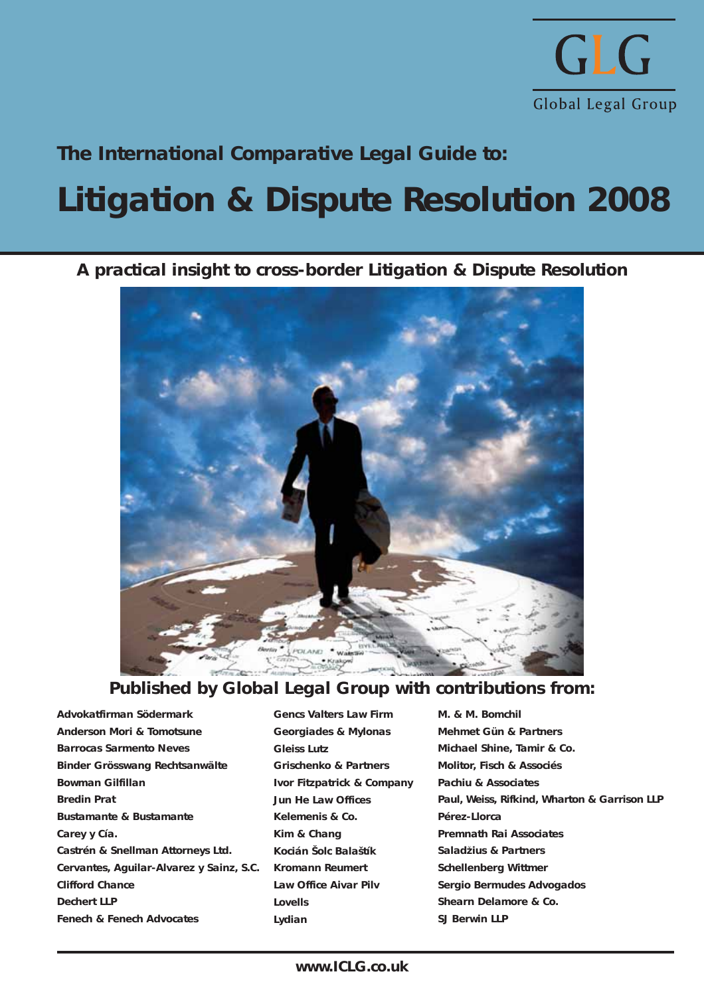

# **The International Comparative Legal Guide to:**

# **Litigation & Dispute Resolution 2008**

**A practical insight to cross-border Litigation & Dispute Resolution**



## **Published by Global Legal Group with contributions from:**

**Advokatfirman Södermark Anderson Mori & Tomotsune Barrocas Sarmento Neves Binder Grösswang Rechtsanwälte Bowman Gilfillan Bredin Prat Bustamante & Bustamante Carey y Cía. Castrén & Snellman Attorneys Ltd. Cervantes, Aguilar-Alvarez y Sainz, S.C. Clifford Chance Dechert LLP Fenech & Fenech Advocates**

**Gencs Valters Law Firm Georgiades & Mylonas Gleiss Lutz Grischenko & Partners Ivor Fitzpatrick & Company Jun He Law Offices Kelemenis & Co. Kim & Chang Kocián Šolc Balaštík Kromann Reumert Law Office Aivar Pilv Lovells Lydian** 

**M. & M. Bomchil Mehmet Gün & Partners Michael Shine, Tamir & Co. Molitor, Fisch & Associés Pachiu & Associates Paul, Weiss, Rifkind, Wharton & Garrison LLP Pérez-Llorca Premnath Rai Associates** Saladžius & Partners **Schellenberg Wittmer Sergio Bermudes Advogados Shearn Delamore & Co. SJ Berwin LLP**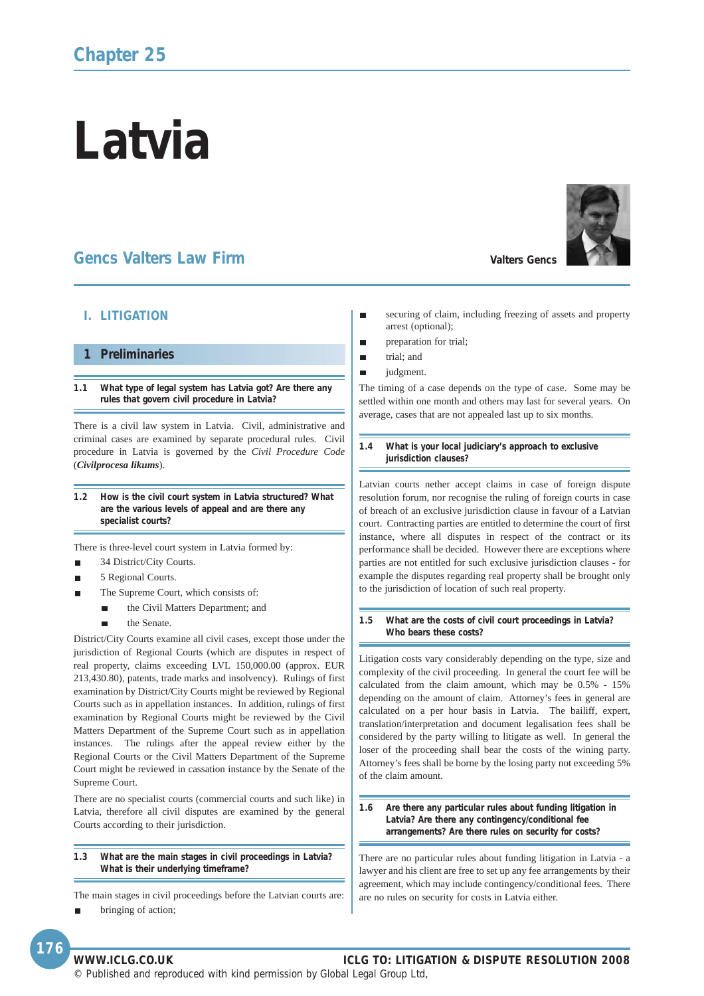# **Latvia**

### **Gencs Valters Law Firm**

#### **I. LITIGATION**

#### **1 Preliminaries**

**1.1 What type of legal system has Latvia got? Are there any rules that govern civil procedure in Latvia?**

There is a civil law system in Latvia. Civil, administrative and criminal cases are examined by separate procedural rules. Civil procedure in Latvia is governed by the *Civil Procedure Code* (*Civilprocesa likums*).

**1.2 How is the civil court system in Latvia structured? What are the various levels of appeal and are there any specialist courts?**

There is three-level court system in Latvia formed by:

- 34 District/City Courts.
- 5 Regional Courts.
- The Supreme Court, which consists of:
	- the Civil Matters Department; and
	- the Senate.

District/City Courts examine all civil cases, except those under the jurisdiction of Regional Courts (which are disputes in respect of real property, claims exceeding LVL 150,000.00 (approx. EUR 213,430.80), patents, trade marks and insolvency). Rulings of first examination by District/City Courts might be reviewed by Regional Courts such as in appellation instances. In addition, rulings of first examination by Regional Courts might be reviewed by the Civil Matters Department of the Supreme Court such as in appellation instances. The rulings after the appeal review either by the Regional Courts or the Civil Matters Department of the Supreme Court might be reviewed in cassation instance by the Senate of the Supreme Court.

There are no specialist courts (commercial courts and such like) in Latvia, therefore all civil disputes are examined by the general Courts according to their jurisdiction.

**1.3 What are the main stages in civil proceedings in Latvia? What is their underlying timeframe?**

The main stages in civil proceedings before the Latvian courts are: bringing of action;



securing of claim, including freezing of assets and property Г arrest (optional);

**Valters Gencs** 

- Ė preparation for trial;
- trial; and ÷
- judgment.

The timing of a case depends on the type of case. Some may be settled within one month and others may last for several years. On average, cases that are not appealed last up to six months.

#### **1.4 What is your local judiciary's approach to exclusive jurisdiction clauses?**

Latvian courts nether accept claims in case of foreign dispute resolution forum, nor recognise the ruling of foreign courts in case of breach of an exclusive jurisdiction clause in favour of a Latvian court. Contracting parties are entitled to determine the court of first instance, where all disputes in respect of the contract or its performance shall be decided. However there are exceptions where parties are not entitled for such exclusive jurisdiction clauses - for example the disputes regarding real property shall be brought only to the jurisdiction of location of such real property.

**1.5 What are the costs of civil court proceedings in Latvia? Who bears these costs?**

Litigation costs vary considerably depending on the type, size and complexity of the civil proceeding. In general the court fee will be calculated from the claim amount, which may be 0.5% - 15% depending on the amount of claim. Attorney's fees in general are calculated on a per hour basis in Latvia. The bailiff, expert, translation/interpretation and document legalisation fees shall be considered by the party willing to litigate as well. In general the loser of the proceeding shall bear the costs of the wining party. Attorney's fees shall be borne by the losing party not exceeding 5% of the claim amount.

#### **1.6 Are there any particular rules about funding litigation in Latvia? Are there any contingency/conditional fee arrangements? Are there rules on security for costs?**

There are no particular rules about funding litigation in Latvia - a lawyer and his client are free to set up any fee arrangements by their agreement, which may include contingency/conditional fees. There are no rules on security for costs in Latvia either.

**176**

**WWW.ICLG.CO.UK ICLG TO: LITIGATION & DISPUTE RESOLUTION 2008**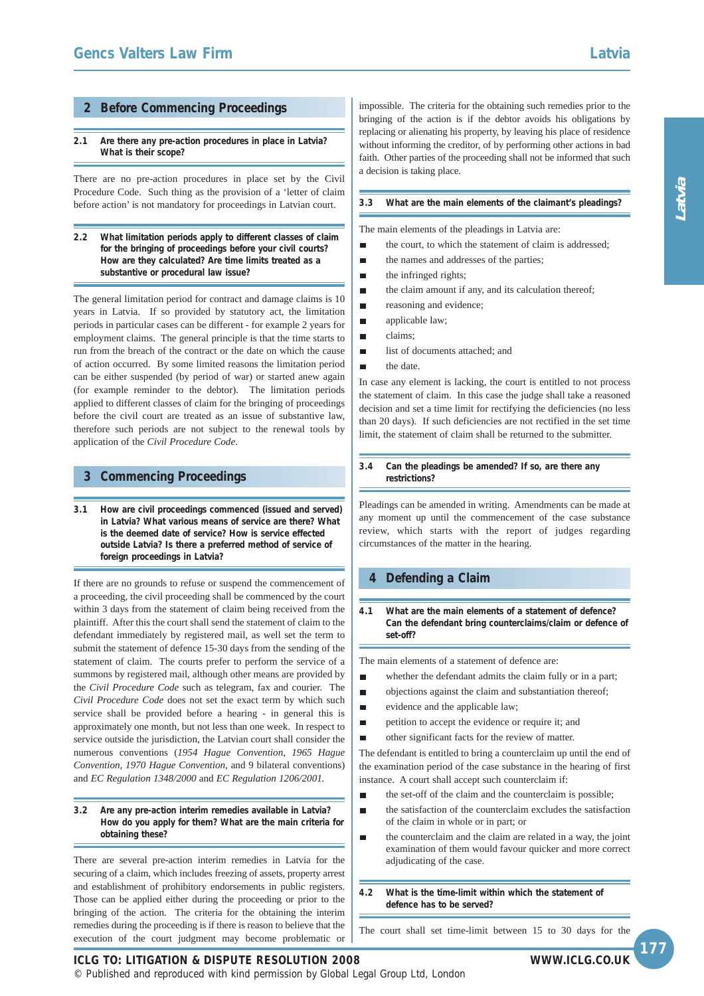#### **2 Before Commencing Proceedings**

#### **2.1 Are there any pre-action procedures in place in Latvia? What is their scope?**

There are no pre-action procedures in place set by the Civil Procedure Code. Such thing as the provision of a 'letter of claim before action' is not mandatory for proceedings in Latvian court.

**2.2 What limitation periods apply to different classes of claim for the bringing of proceedings before your civil courts? How are they calculated? Are time limits treated as a substantive or procedural law issue?**

The general limitation period for contract and damage claims is 10 years in Latvia. If so provided by statutory act, the limitation periods in particular cases can be different - for example 2 years for employment claims. The general principle is that the time starts to run from the breach of the contract or the date on which the cause of action occurred. By some limited reasons the limitation period can be either suspended (by period of war) or started anew again (for example reminder to the debtor). The limitation periods applied to different classes of claim for the bringing of proceedings before the civil court are treated as an issue of substantive law, therefore such periods are not subject to the renewal tools by application of the *Civil Procedure Code*.

#### **3 Commencing Proceedings**

**3.1 How are civil proceedings commenced (issued and served) in Latvia? What various means of service are there? What is the deemed date of service? How is service effected outside Latvia? Is there a preferred method of service of foreign proceedings in Latvia?**

If there are no grounds to refuse or suspend the commencement of a proceeding, the civil proceeding shall be commenced by the court within 3 days from the statement of claim being received from the plaintiff. After this the court shall send the statement of claim to the defendant immediately by registered mail, as well set the term to submit the statement of defence 15-30 days from the sending of the statement of claim. The courts prefer to perform the service of a summons by registered mail, although other means are provided by the *Civil Procedure Code* such as telegram, fax and courier. The *Civil Procedure Code* does not set the exact term by which such service shall be provided before a hearing - in general this is approximately one month, but not less than one week. In respect to service outside the jurisdiction, the Latvian court shall consider the numerous conventions (*1954 Hague Convention, 1965 Hague Convention, 1970 Hague Convention*, and 9 bilateral conventions) and *EC Regulation 1348/2000* and *EC Regulation 1206/2001.*

#### **3.2 Are any pre-action interim remedies available in Latvia? How do you apply for them? What are the main criteria for obtaining these?**

There are several pre-action interim remedies in Latvia for the securing of a claim, which includes freezing of assets, property arrest and establishment of prohibitory endorsements in public registers. Those can be applied either during the proceeding or prior to the bringing of the action. The criteria for the obtaining the interim remedies during the proceeding is if there is reason to believe that the execution of the court judgment may become problematic or impossible. The criteria for the obtaining such remedies prior to the bringing of the action is if the debtor avoids his obligations by replacing or alienating his property, by leaving his place of residence without informing the creditor, of by performing other actions in bad faith. Other parties of the proceeding shall not be informed that such a decision is taking place.

#### **3.3 What are the main elements of the claimant's pleadings?**

The main elements of the pleadings in Latvia are:

- the court, to which the statement of claim is addressed; Г
- the names and addresses of the parties; п
- Ė the infringed rights;
- the claim amount if any, and its calculation thereof;  $\blacksquare$
- reasoning and evidence; É
- applicable law; ÷
- claims; ÷
- list of documents attached; and
- the date.  $\blacksquare$

In case any element is lacking, the court is entitled to not process the statement of claim. In this case the judge shall take a reasoned decision and set a time limit for rectifying the deficiencies (no less than 20 days). If such deficiencies are not rectified in the set time limit, the statement of claim shall be returned to the submitter.

#### **3.4 Can the pleadings be amended? If so, are there any restrictions?**

Pleadings can be amended in writing. Amendments can be made at any moment up until the commencement of the case substance review, which starts with the report of judges regarding circumstances of the matter in the hearing.

#### **4 Defending a Claim**

**4.1 What are the main elements of a statement of defence? Can the defendant bring counterclaims/claim or defence of set-off?**

The main elements of a statement of defence are:

- whether the defendant admits the claim fully or in a part;
- objections against the claim and substantiation thereof;  $\blacksquare$
- É evidence and the applicable law;
- $\blacksquare$ petition to accept the evidence or require it; and
- other significant facts for the review of matter.

The defendant is entitled to bring a counterclaim up until the end of the examination period of the case substance in the hearing of first instance. A court shall accept such counterclaim if:

- ь the set-off of the claim and the counterclaim is possible;
- the satisfaction of the counterclaim excludes the satisfaction É of the claim in whole or in part; or
- the counterclaim and the claim are related in a way, the joint п examination of them would favour quicker and more correct adjudicating of the case.
- **4.2 What is the time-limit within which the statement of defence has to be served?**

The court shall set time-limit between 15 to 30 days for the

**177**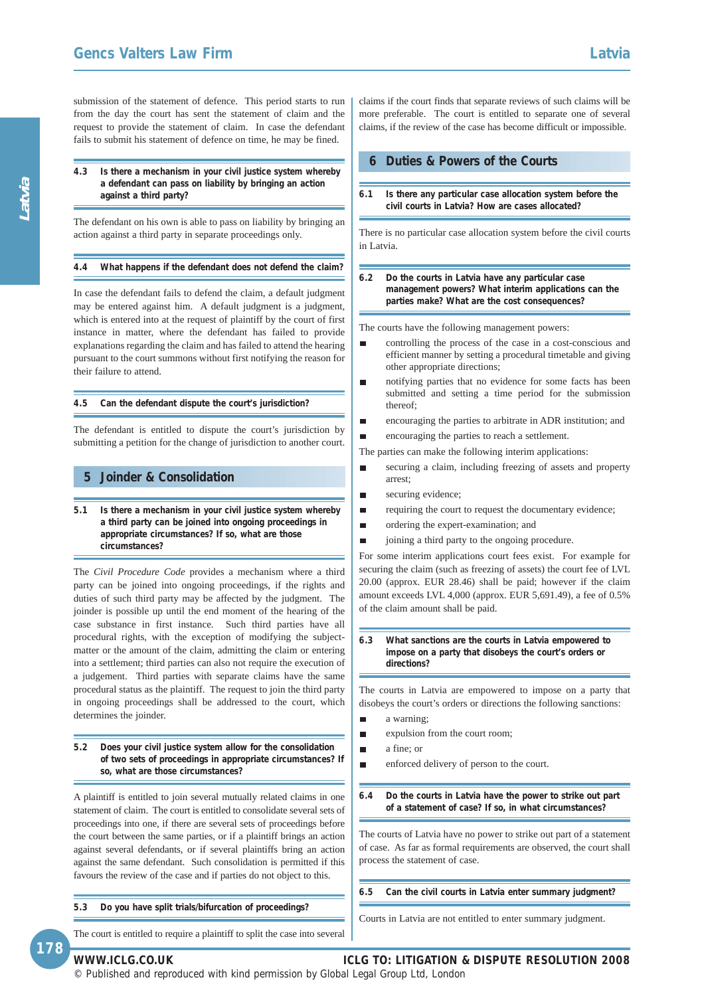**Latvia**

submission of the statement of defence. This period starts to run from the day the court has sent the statement of claim and the request to provide the statement of claim. In case the defendant fails to submit his statement of defence on time, he may be fined.

#### **4.3 Is there a mechanism in your civil justice system whereby a defendant can pass on liability by bringing an action against a third party?**

The defendant on his own is able to pass on liability by bringing an action against a third party in separate proceedings only.

#### **4.4 What happens if the defendant does not defend the claim?**

In case the defendant fails to defend the claim, a default judgment may be entered against him. A default judgment is a judgment, which is entered into at the request of plaintiff by the court of first instance in matter, where the defendant has failed to provide explanations regarding the claim and has failed to attend the hearing pursuant to the court summons without first notifying the reason for their failure to attend.

#### **4.5 Can the defendant dispute the court's jurisdiction?**

The defendant is entitled to dispute the court's jurisdiction by submitting a petition for the change of jurisdiction to another court.

#### **5 Joinder & Consolidation**

**5.1 Is there a mechanism in your civil justice system whereby a third party can be joined into ongoing proceedings in appropriate circumstances? If so, what are those circumstances?**

The *Civil Procedure Code* provides a mechanism where a third party can be joined into ongoing proceedings, if the rights and duties of such third party may be affected by the judgment. The joinder is possible up until the end moment of the hearing of the case substance in first instance. Such third parties have all procedural rights, with the exception of modifying the subjectmatter or the amount of the claim, admitting the claim or entering into a settlement; third parties can also not require the execution of a judgement. Third parties with separate claims have the same procedural status as the plaintiff. The request to join the third party in ongoing proceedings shall be addressed to the court, which determines the joinder.

#### **5.2 Does your civil justice system allow for the consolidation of two sets of proceedings in appropriate circumstances? If so, what are those circumstances?**

A plaintiff is entitled to join several mutually related claims in one statement of claim. The court is entitled to consolidate several sets of proceedings into one, if there are several sets of proceedings before the court between the same parties, or if a plaintiff brings an action against several defendants, or if several plaintiffs bring an action against the same defendant. Such consolidation is permitted if this favours the review of the case and if parties do not object to this.

**5.3 Do you have split trials/bifurcation of proceedings?**

claims if the court finds that separate reviews of such claims will be more preferable. The court is entitled to separate one of several claims, if the review of the case has become difficult or impossible.

#### **6 Duties & Powers of the Courts**

**6.1 Is there any particular case allocation system before the civil courts in Latvia? How are cases allocated?**

There is no particular case allocation system before the civil courts in Latvia.

**6.2 Do the courts in Latvia have any particular case management powers? What interim applications can the parties make? What are the cost consequences?** 

The courts have the following management powers:

- controlling the process of the case in a cost-conscious and efficient manner by setting a procedural timetable and giving other appropriate directions;
- notifying parties that no evidence for some facts has been É submitted and setting a time period for the submission thereof;
- encouraging the parties to arbitrate in ADR institution; and encouraging the parties to reach a settlement. ÷
- The parties can make the following interim applications:
- Г securing a claim, including freezing of assets and property arrest;
- É securing evidence;
- ÷ requiring the court to request the documentary evidence;
- ordering the expert-examination; and п
- joining a third party to the ongoing procedure. п

For some interim applications court fees exist. For example for securing the claim (such as freezing of assets) the court fee of LVL 20.00 (approx. EUR 28.46) shall be paid; however if the claim amount exceeds LVL 4,000 (approx. EUR 5,691.49), a fee of 0.5% of the claim amount shall be paid.

**6.3 What sanctions are the courts in Latvia empowered to impose on a party that disobeys the court's orders or directions?**

The courts in Latvia are empowered to impose on a party that disobeys the court's orders or directions the following sanctions:

- a warning;  $\blacksquare$
- É expulsion from the court room;
- a fine; or  $\overline{\phantom{0}}$
- ÷ enforced delivery of person to the court.
- **6.4 Do the courts in Latvia have the power to strike out part of a statement of case? If so, in what circumstances?**

The courts of Latvia have no power to strike out part of a statement of case. As far as formal requirements are observed, the court shall process the statement of case.

**6.5 Can the civil courts in Latvia enter summary judgment?**

Courts in Latvia are not entitled to enter summary judgment.

The court is entitled to require a plaintiff to split the case into several

© Published and reproduced with kind permission by Global Legal Group Ltd, London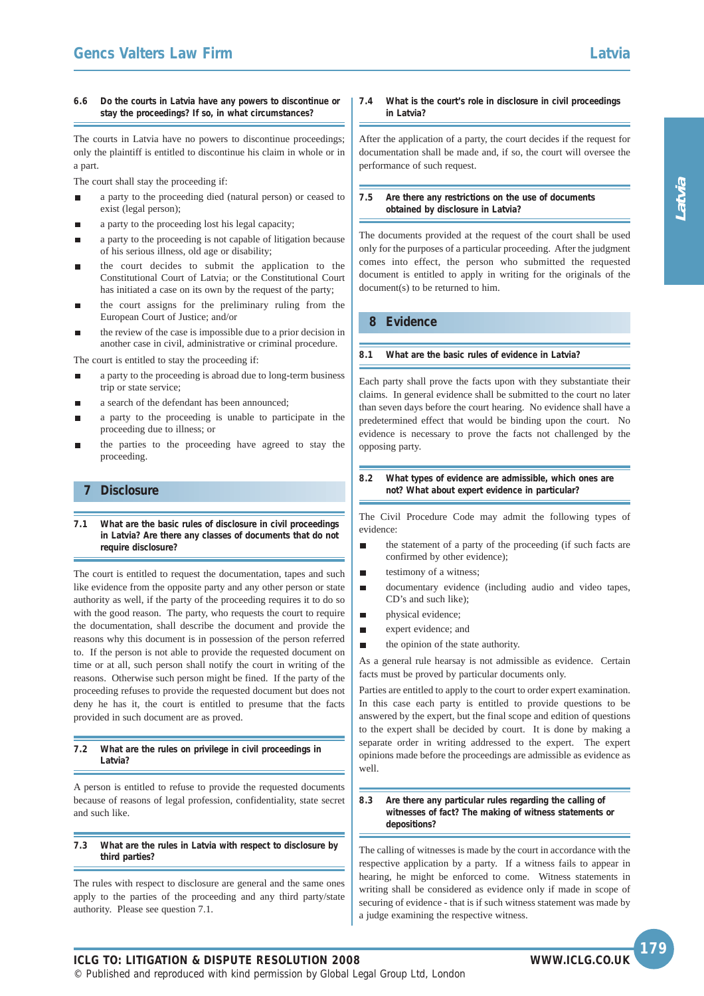#### **6.6 Do the courts in Latvia have any powers to discontinue or stay the proceedings? If so, in what circumstances?**

The courts in Latvia have no powers to discontinue proceedings; only the plaintiff is entitled to discontinue his claim in whole or in a part.

The court shall stay the proceeding if:

- a party to the proceeding died (natural person) or ceased to exist (legal person);
- a party to the proceeding lost his legal capacity;
- a party to the proceeding is not capable of litigation because of his serious illness, old age or disability;
- the court decides to submit the application to the Constitutional Court of Latvia; or the Constitutional Court has initiated a case on its own by the request of the party;
- the court assigns for the preliminary ruling from the European Court of Justice; and/or
- the review of the case is impossible due to a prior decision in another case in civil, administrative or criminal procedure.

The court is entitled to stay the proceeding if:

- a party to the proceeding is abroad due to long-term business trip or state service;
- a search of the defendant has been announced;
- a party to the proceeding is unable to participate in the proceeding due to illness; or
- the parties to the proceeding have agreed to stay the proceeding.

#### **7 Disclosure**

**7.1 What are the basic rules of disclosure in civil proceedings in Latvia? Are there any classes of documents that do not require disclosure?**

The court is entitled to request the documentation, tapes and such like evidence from the opposite party and any other person or state authority as well, if the party of the proceeding requires it to do so with the good reason. The party, who requests the court to require the documentation, shall describe the document and provide the reasons why this document is in possession of the person referred to. If the person is not able to provide the requested document on time or at all, such person shall notify the court in writing of the reasons. Otherwise such person might be fined. If the party of the proceeding refuses to provide the requested document but does not deny he has it, the court is entitled to presume that the facts provided in such document are as proved.

#### **7.2 What are the rules on privilege in civil proceedings in Latvia?**

A person is entitled to refuse to provide the requested documents because of reasons of legal profession, confidentiality, state secret and such like.

**7.3 What are the rules in Latvia with respect to disclosure by third parties?**

The rules with respect to disclosure are general and the same ones apply to the parties of the proceeding and any third party/state authority. Please see question 7.1.

#### **7.4 What is the court's role in disclosure in civil proceedings in Latvia?**

After the application of a party, the court decides if the request for documentation shall be made and, if so, the court will oversee the performance of such request.

#### **7.5 Are there any restrictions on the use of documents obtained by disclosure in Latvia?**

The documents provided at the request of the court shall be used only for the purposes of a particular proceeding. After the judgment comes into effect, the person who submitted the requested document is entitled to apply in writing for the originals of the document(s) to be returned to him.

#### **8 Evidence**

#### **8.1 What are the basic rules of evidence in Latvia?**

Each party shall prove the facts upon with they substantiate their claims. In general evidence shall be submitted to the court no later than seven days before the court hearing. No evidence shall have a predetermined effect that would be binding upon the court. No evidence is necessary to prove the facts not challenged by the opposing party.

#### **8.2 What types of evidence are admissible, which ones are not? What about expert evidence in particular?**

The Civil Procedure Code may admit the following types of evidence:

- ÷ the statement of a party of the proceeding (if such facts are confirmed by other evidence);
- testimony of a witness;  $\blacksquare$
- É documentary evidence (including audio and video tapes, CD's and such like);
- $\mathbf{r}$ physical evidence;
- expert evidence; and п
- the opinion of the state authority.  $\blacksquare$

As a general rule hearsay is not admissible as evidence. Certain facts must be proved by particular documents only.

Parties are entitled to apply to the court to order expert examination. In this case each party is entitled to provide questions to be answered by the expert, but the final scope and edition of questions to the expert shall be decided by court. It is done by making a separate order in writing addressed to the expert. The expert opinions made before the proceedings are admissible as evidence as well.

#### **8.3 Are there any particular rules regarding the calling of witnesses of fact? The making of witness statements or depositions?**

The calling of witnesses is made by the court in accordance with the respective application by a party. If a witness fails to appear in hearing, he might be enforced to come. Witness statements in writing shall be considered as evidence only if made in scope of securing of evidence - that is if such witness statement was made by a judge examining the respective witness.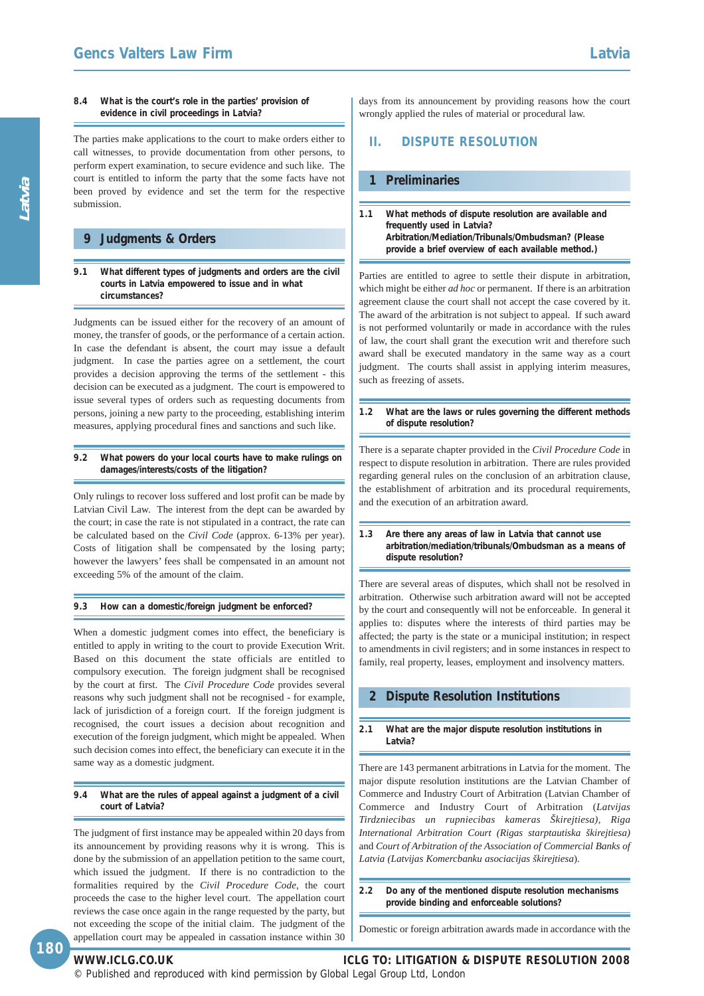#### **8.4 What is the court's role in the parties' provision of evidence in civil proceedings in Latvia?**

The parties make applications to the court to make orders either to call witnesses, to provide documentation from other persons, to perform expert examination, to secure evidence and such like. The court is entitled to inform the party that the some facts have not been proved by evidence and set the term for the respective submission.

#### **9 Judgments & Orders**

#### **9.1 What different types of judgments and orders are the civil courts in Latvia empowered to issue and in what circumstances?**

Judgments can be issued either for the recovery of an amount of money, the transfer of goods, or the performance of a certain action. In case the defendant is absent, the court may issue a default judgment. In case the parties agree on a settlement, the court provides a decision approving the terms of the settlement - this decision can be executed as a judgment. The court is empowered to issue several types of orders such as requesting documents from persons, joining a new party to the proceeding, establishing interim measures, applying procedural fines and sanctions and such like.

#### **9.2 What powers do your local courts have to make rulings on damages/interests/costs of the litigation?**

Only rulings to recover loss suffered and lost profit can be made by Latvian Civil Law. The interest from the dept can be awarded by the court; in case the rate is not stipulated in a contract, the rate can be calculated based on the *Civil Code* (approx. 6-13% per year). Costs of litigation shall be compensated by the losing party; however the lawyers' fees shall be compensated in an amount not exceeding 5% of the amount of the claim.

#### **9.3 How can a domestic/foreign judgment be enforced?**

When a domestic judgment comes into effect, the beneficiary is entitled to apply in writing to the court to provide Execution Writ. Based on this document the state officials are entitled to compulsory execution. The foreign judgment shall be recognised by the court at first. The *Civil Procedure Code* provides several reasons why such judgment shall not be recognised - for example, lack of jurisdiction of a foreign court. If the foreign judgment is recognised, the court issues a decision about recognition and execution of the foreign judgment, which might be appealed. When such decision comes into effect, the beneficiary can execute it in the same way as a domestic judgment.

#### **9.4 What are the rules of appeal against a judgment of a civil court of Latvia?**

The judgment of first instance may be appealed within 20 days from its announcement by providing reasons why it is wrong. This is done by the submission of an appellation petition to the same court, which issued the judgment. If there is no contradiction to the formalities required by the *Civil Procedure Code*, the court proceeds the case to the higher level court. The appellation court reviews the case once again in the range requested by the party, but not exceeding the scope of the initial claim. The judgment of the appellation court may be appealed in cassation instance within 30 days from its announcement by providing reasons how the court wrongly applied the rules of material or procedural law.

#### **II. DISPUTE RESOLUTION**

#### **1 Preliminaries**

| 1.1 | What methods of dispute resolution are available and |
|-----|------------------------------------------------------|
|     | frequently used in Latvia?                           |
|     | Arbitration/Mediation/Tribunals/Ombudsman? (Please   |
|     | provide a brief overview of each available method.)  |

Parties are entitled to agree to settle their dispute in arbitration, which might be either *ad hoc* or permanent. If there is an arbitration agreement clause the court shall not accept the case covered by it. The award of the arbitration is not subject to appeal. If such award is not performed voluntarily or made in accordance with the rules of law, the court shall grant the execution writ and therefore such award shall be executed mandatory in the same way as a court judgment. The courts shall assist in applying interim measures, such as freezing of assets.

#### **1.2 What are the laws or rules governing the different methods of dispute resolution?**

There is a separate chapter provided in the *Civil Procedure Code* in respect to dispute resolution in arbitration. There are rules provided regarding general rules on the conclusion of an arbitration clause, the establishment of arbitration and its procedural requirements, and the execution of an arbitration award.

#### **1.3 Are there any areas of law in Latvia that cannot use arbitration/mediation/tribunals/Ombudsman as a means of dispute resolution?**

There are several areas of disputes, which shall not be resolved in arbitration. Otherwise such arbitration award will not be accepted by the court and consequently will not be enforceable. In general it applies to: disputes where the interests of third parties may be affected; the party is the state or a municipal institution; in respect to amendments in civil registers; and in some instances in respect to family, real property, leases, employment and insolvency matters.

#### **2 Dispute Resolution Institutions**

#### **2.1 What are the major dispute resolution institutions in Latvia?**

There are 143 permanent arbitrations in Latvia for the moment. The major dispute resolution institutions are the Latvian Chamber of Commerce and Industry Court of Arbitration (Latvian Chamber of Commerce and Industry Court of Arbitration (*Latvijas Tirdzniecibas un rupniecibas kameras Škirejtiesa), Riga International Arbitration Court (Rigas starptautiska škirejtiesa)* and *Court of Arbitration of the Association of Commercial Banks of Latvia (Latvijas Komercbanku asociacijas škirejtiesa*).

**2.2 Do any of the mentioned dispute resolution mechanisms provide binding and enforceable solutions?**

Domestic or foreign arbitration awards made in accordance with the

**WWW.ICLG.CO.UK ICLG TO: LITIGATION & DISPUTE RESOLUTION 2008**

© Published and reproduced with kind permission by Global Legal Group Ltd, London